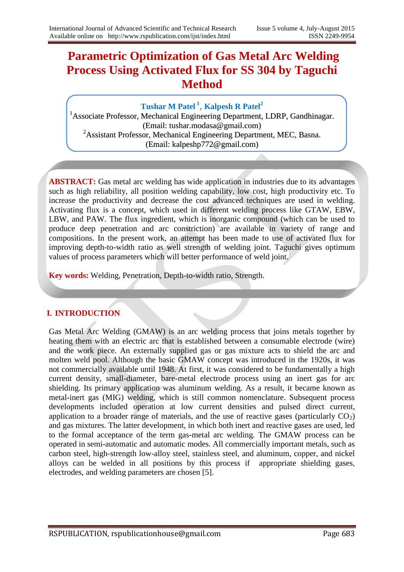# **Parametric Optimization of Gas Metal Arc Welding Process Using Activated Flux for SS 304 by Taguchi Method**

## **Tushar M Patel <sup>1</sup>** , **Kalpesh R Patel<sup>2</sup>**

<sup>1</sup>Associate Professor, Mechanical Engineering Department, LDRP, Gandhinagar. (Email: tushar.modasa@gmail.com) <sup>2</sup>Assistant Professor, Mechanical Engineering Department, MEC, Basna. (Email: kalpeshp772@gmail.com)

**ABSTRACT:** Gas metal arc welding has wide application in industries due to its advantages such as high reliability, all position welding capability, low cost, high productivity etc. To increase the productivity and decrease the cost advanced techniques are used in welding. Activating flux is a concept, which used in different welding process like GTAW, EBW, LBW, and PAW. The flux ingredient, which is inorganic compound (which can be used to produce deep penetration and arc constriction) are available in variety of range and compositions. In the present work, an attempt has been made to use of activated flux for improving depth-to-width ratio as well strength of welding joint. Taguchi gives optimum values of process parameters which will better performance of weld joint.

**Key words:** Welding, Penetration, Depth-to-width ratio, Strength.

### **I. INTRODUCTION**

Gas Metal Arc Welding (GMAW) is an arc welding process that joins metals together by heating them with an electric arc that is established between a consumable electrode (wire) and the work piece. An externally supplied gas or gas mixture acts to shield the arc and molten weld pool. Although the basic GMAW concept was introduced in the 1920s, it was not commercially available until 1948. At first, it was considered to be fundamentally a high current density, small-diameter, bare-metal electrode process using an inert gas for arc shielding. Its primary application was aluminum welding. As a result, it became known as metal-inert gas (MIG) welding, which is still common nomenclature. Subsequent process developments included operation at low current densities and pulsed direct current, application to a broader range of materials, and the use of reactive gases (particularly  $CO<sub>2</sub>$ ) and gas mixtures. The latter development, in which both inert and reactive gases are used, led to the formal acceptance of the term gas-metal arc welding. The GMAW process can be operated in semi-automatic and automatic modes. All commercially important metals, such as carbon steel, high-strength low-alloy steel, stainless steel, and aluminum, copper, and nickel alloys can be welded in all positions by this process if appropriate shielding gases, electrodes, and welding parameters are chosen [5].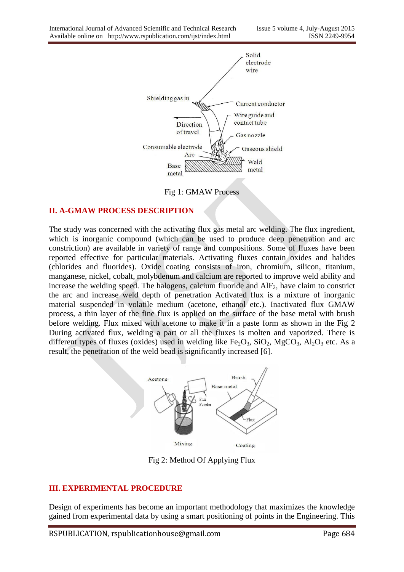

Fig 1: GMAW Process

#### **II. A-GMAW PROCESS DESCRIPTION**

The study was concerned with the activating flux gas metal arc welding. The flux ingredient, which is inorganic compound (which can be used to produce deep penetration and arc constriction) are available in variety of range and compositions. Some of fluxes have been reported effective for particular materials. Activating fluxes contain oxides and halides (chlorides and fluorides). Oxide coating consists of iron, chromium, silicon, titanium, manganese, nickel, cobalt, molybdenum and calcium are reported to improve weld ability and increase the welding speed. The halogens, calcium fluoride and  $\text{AIF}_2$ , have claim to constrict the arc and increase weld depth of penetration Activated flux is a mixture of inorganic material suspended in volatile medium (acetone, ethanol etc.). Inactivated flux GMAW process, a thin layer of the fine flux is applied on the surface of the base metal with brush before welding. Flux mixed with acetone to make it in a paste form as shown in the Fig 2 During activated flux, welding a part or all the fluxes is molten and vaporized. There is different types of fluxes (oxides) used in welding like  $Fe<sub>2</sub>O<sub>3</sub>$ ,  $SiO<sub>2</sub>$ ,  $MgCO<sub>3</sub>$ ,  $Al<sub>2</sub>O<sub>3</sub>$  etc. As a result, the penetration of the weld bead is significantly increased [6].



Fig 2: Method Of Applying Flux

#### **III. EXPERIMENTAL PROCEDURE**

Design of experiments has become an important methodology that maximizes the knowledge gained from experimental data by using a smart positioning of points in the Engineering. This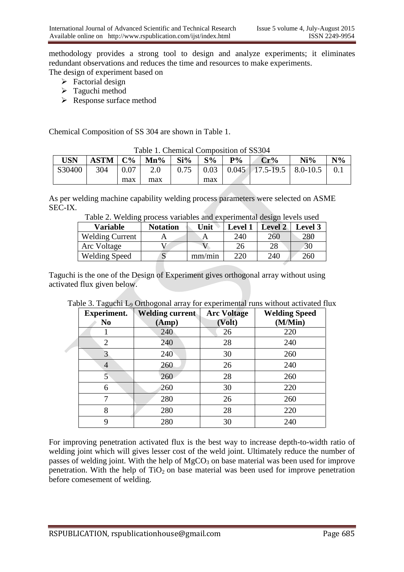methodology provides a strong tool to design and analyze experiments; it eliminates redundant observations and reduces the time and resources to make experiments. The design of experiment based on

- - $\triangleright$  Factorial design
	- $\triangleright$  Taguchi method
	- Response surface method

Chemical Composition of SS 304 are shown in Table 1.

|            | Table 1. Chemical Composition of BBJ0+  |         |     |     |       |       |                                                           |        |       |  |
|------------|-----------------------------------------|---------|-----|-----|-------|-------|-----------------------------------------------------------|--------|-------|--|
| <b>USN</b> | $\mid$ ASTM $\mid$ C% $\mid$ Mn% $\mid$ |         |     | Si% | $S\%$ | $P\%$ | Cr%                                                       | $Ni\%$ | $N\%$ |  |
| S30400     | 304                                     | $+0.07$ | 2.0 |     |       |       | $0.75$   $0.03$   $0.045$   $17.5$ -19.5   8.0-10.5   0.1 |        |       |  |
|            |                                         | max     | max |     | max   |       |                                                           |        |       |  |

Table 1. Chemical Composition of SS304

As per welding machine capability welding process parameters were selected on ASME SEC-IX.

Table 2. Welding process variables and experimental design levels used

| <b>Variable</b>        | <b>Notation</b> | Unit   | Level $\gamma$ | <b>Level 2</b> | <b>Level 3</b> |
|------------------------|-----------------|--------|----------------|----------------|----------------|
| <b>Welding Current</b> |                 | A      | 240            | 260            | 280            |
| Arc Voltage            |                 |        |                | 28             | 30             |
| <b>Welding Speed</b>   |                 | mm/min | 220            | 240            | 260            |

Taguchi is the one of the Design of Experiment gives orthogonal array without using activated flux given below.

| <b>Experiment.</b> | <b>Welding current</b> | <b>Arc Voltage</b> | <b>Welding Speed</b> |
|--------------------|------------------------|--------------------|----------------------|
| N <sub>0</sub>     | (Amp)                  | (Volt)             | (M/Min)              |
|                    | 240                    | 26                 | 220                  |
| $\overline{2}$     | 240                    | 28                 | 240                  |
|                    | 240                    | 30                 | 260                  |
| $\overline{4}$     | 260                    | 26                 | 240                  |
| 5                  | 260                    | 28                 | 260                  |
| 6                  | 260                    | 30                 | 220                  |
| 7                  | 280                    | 26                 | 260                  |
| 8                  | 280                    | 28                 | 220                  |
| 9                  | 280                    | 30                 | 240                  |

Table 3. Taguchi L<sub>9</sub> Orthogonal array for experimental runs without activated flux

For improving penetration activated flux is the best way to increase depth-to-width ratio of welding joint which will gives lesser cost of the weld joint. Ultimately reduce the number of passes of welding joint. With the help of  $MgCO<sub>3</sub>$  on base material was been used for improve penetration. With the help of  $TiO<sub>2</sub>$  on base material was been used for improve penetration before comesement of welding.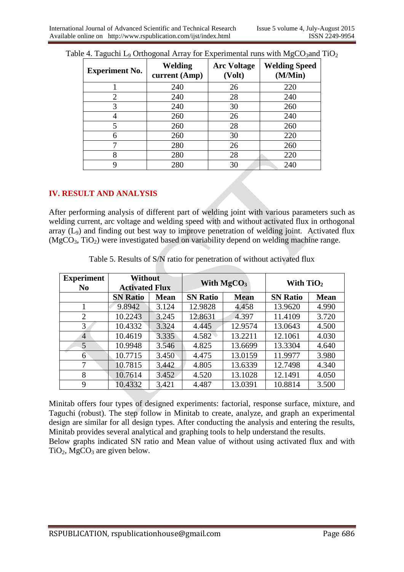| <b>Experiment No.</b> | Welding<br>current (Amp) | <b>Arc Voltage</b><br>(Volt) | <b>Welding Speed</b><br>(M/Min) |
|-----------------------|--------------------------|------------------------------|---------------------------------|
|                       | 240                      | 26                           | 220                             |
| $\overline{2}$        | 240                      | 28                           | 240                             |
| 3                     | 240                      | 30                           | 260                             |
|                       | 260                      | 26                           | 240                             |
| 5                     | 260                      | 28                           | 260                             |
| 6                     | 260                      | 30                           | 220                             |
|                       | 280                      | 26                           | 260                             |
| 8                     | 280                      | 28                           | 220                             |
|                       | 280                      | 30                           | 240                             |

|  |  | Table 4. Taguchi L <sub>9</sub> Orthogonal Array for Experimental runs with $MgCO3$ and TiO <sub>2</sub> |  |
|--|--|----------------------------------------------------------------------------------------------------------|--|
|  |  |                                                                                                          |  |

#### **IV. RESULT AND ANALYSIS**

After performing analysis of different part of welding joint with various parameters such as welding current, arc voltage and welding speed with and without activated flux in orthogonal array  $(L_9)$  and finding out best way to improve penetration of welding joint. Activated flux  $(MgCO<sub>3</sub>, TiO<sub>2</sub>)$  were investigated based on variability depend on welding machine range.

| <b>Experiment</b><br>N <sub>0</sub> | <b>Without</b><br><b>Activated Flux</b> |             |                 | With $MgCO3$ | With $TiO2$     |             |
|-------------------------------------|-----------------------------------------|-------------|-----------------|--------------|-----------------|-------------|
|                                     | <b>SN Ratio</b>                         | <b>Mean</b> | <b>SN Ratio</b> | <b>Mean</b>  | <b>SN Ratio</b> | <b>Mean</b> |
|                                     | 9.8942                                  | 3.124       | 12.9828         | 4.458        | 13.9620         | 4.990       |
| $\overline{2}$                      | 10.2243                                 | 3.245       | 12.8631         | 4.397        | 11.4109         | 3.720       |
| 3                                   | 10.4332                                 | 3.324       | 4.445           | 12.9574      | 13.0643         | 4.500       |
| $\overline{4}$                      | 10.4619                                 | 3.335       | 4.582           | 13.2211      | 12.1061         | 4.030       |
| 5                                   | 10.9948                                 | 3.546       | 4.825           | 13.6699      | 13.3304         | 4.640       |
| 6                                   | 10.7715                                 | 3.450       | 4.475           | 13.0159      | 11.9977         | 3.980       |
| 7                                   | 10.7815                                 | 3.442       | 4.805           | 13.6339      | 12.7498         | 4.340       |
| 8                                   | 10.7614                                 | 3.452       | 4.520           | 13.1028      | 12.1491         | 4.050       |
| 9                                   | 10.4332                                 | 3.421       | 4.487           | 13.0391      | 10.8814         | 3.500       |

Table 5. Results of S/N ratio for penetration of without activated flux

Minitab offers four types of designed experiments: factorial, response surface, mixture, and Taguchi (robust). The step follow in Minitab to create, analyze, and graph an experimental design are similar for all design types. After conducting the analysis and entering the results, Minitab provides several analytical and graphing tools to help understand the results.

Below graphs indicated SN ratio and Mean value of without using activated flux and with  $TiO<sub>2</sub>$ , MgCO<sub>3</sub> are given below.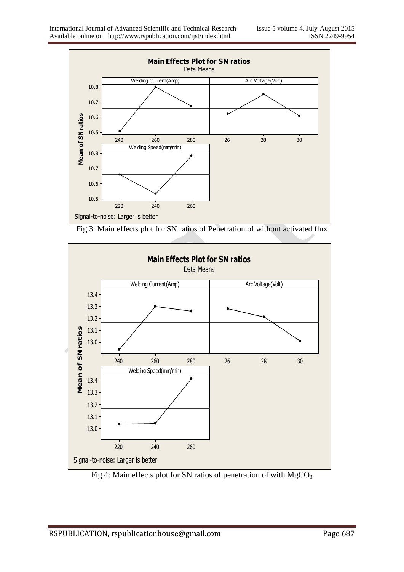

Fig 3: Main effects plot for SN ratios of Penetration of without activated flux



Fig 4: Main effects plot for SN ratios of penetration of with  $MgCO<sub>3</sub>$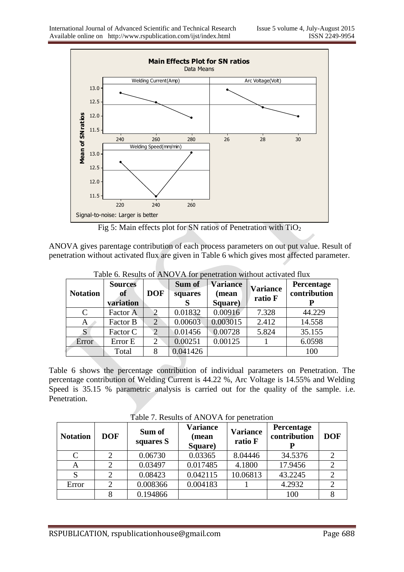

Fig 5: Main effects plot for SN ratios of Penetration with  $TiO<sub>2</sub>$ 

ANOVA gives parentage contribution of each process parameters on out put value. Result of penetration without activated flux are given in Table 6 which gives most affected parameter.

| <b>Notation</b> | <b>Sources</b><br>of<br>variation | <b>DOF</b>     | Sum of<br>squares | <b>Variance</b><br>(mean<br>Square) | <b>Variance</b><br>ratio F | Percentage<br>contribution |
|-----------------|-----------------------------------|----------------|-------------------|-------------------------------------|----------------------------|----------------------------|
| C               | Factor A                          | $\mathcal{D}$  | 0.01832           | 0.00916                             | 7.328                      | 44.229                     |
| A               | Factor B                          | $\overline{2}$ | 0.00603           | 0.003015                            | 2.412                      | 14.558                     |
| S               | Factor C                          | $\mathcal{D}$  | 0.01456           | 0.00728                             | 5.824                      | 35.155                     |
| Error           | Error E                           | $\overline{2}$ | 0.00251           | 0.00125                             |                            | 6.0598                     |
|                 | Total                             | 8              | 0.041426          |                                     |                            | 100                        |

Table 6. Results of ANOVA for penetration without activated flux

Table 6 shows the percentage contribution of individual parameters on Penetration. The percentage contribution of Welding Current is 44.22 %, Arc Voltage is 14.55% and Welding Speed is 35.15 % parametric analysis is carried out for the quality of the sample. i.e. Penetration.

Table 7. Results of ANOVA for penetration

| <b>Notation</b> | <b>DOF</b> | Sum of<br>squares S | <b>Variance</b><br>(mean<br>Square) | <b>Variance</b><br>ratio F | <b>Percentage</b><br>contribution | <b>DOF</b> |
|-----------------|------------|---------------------|-------------------------------------|----------------------------|-----------------------------------|------------|
| C               |            | 0.06730             | 0.03365                             | 8.04446                    | 34.5376                           |            |
| A               |            | 0.03497             | 0.017485                            | 4.1800                     | 17.9456                           |            |
| S               |            | 0.08423             | 0.042115                            | 10.06813                   | 43.2245                           |            |
| Error           | $\gamma$   | 0.008366            | 0.004183                            |                            | 4.2932                            |            |
|                 |            | 0.194866            |                                     |                            | 100                               |            |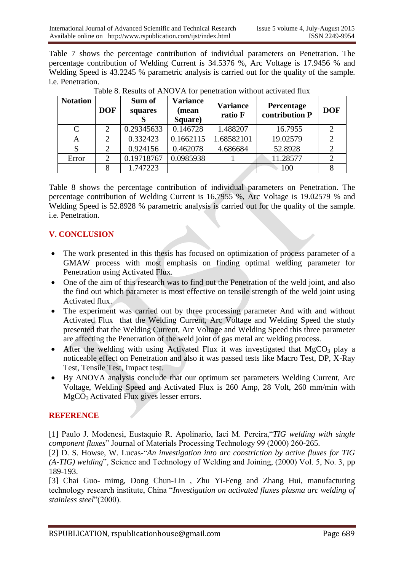Table 7 shows the percentage contribution of individual parameters on Penetration. The percentage contribution of Welding Current is 34.5376 %, Arc Voltage is 17.9456 % and Welding Speed is 43.2245 % parametric analysis is carried out for the quality of the sample. i.e. Penetration.

| <b>Notation</b> | <b>DOF</b>                  | Sum of<br>squares | <b>Variance</b><br>(mean<br>Square) | <b>Variance</b><br>ratio F | <b>Percentage</b><br>contribution P | <b>DOF</b> |
|-----------------|-----------------------------|-------------------|-------------------------------------|----------------------------|-------------------------------------|------------|
| C               |                             | 0.29345633        | 0.146728                            | 1.488207                   | 16.7955                             |            |
| A               | 2                           | 0.332423          | 0.1662115                           | 1.68582101                 | 19.02579                            |            |
|                 | $\mathcal{D}_{\mathcal{A}}$ | 0.924156          | 0.462078                            | 4.686684                   | 52.8928                             |            |
| Error           | 2                           | 0.19718767        | 0.0985938                           |                            | 11.28577                            |            |
|                 |                             | 1.747223          |                                     |                            | 100                                 |            |

Table 8. Results of ANOVA for penetration without activated flux

Table 8 shows the percentage contribution of individual parameters on Penetration. The percentage contribution of Welding Current is 16.7955 %, Arc Voltage is 19.02579 % and Welding Speed is 52.8928 % parametric analysis is carried out for the quality of the sample. i.e. Penetration.

# **V. CONCLUSION**

- The work presented in this thesis has focused on optimization of process parameter of a GMAW process with most emphasis on finding optimal welding parameter for Penetration using Activated Flux.
- One of the aim of this research was to find out the Penetration of the weld joint, and also the find out which parameter is most effective on tensile strength of the weld joint using Activated flux.
- The experiment was carried out by three processing parameter And with and without Activated Flux that the Welding Current, Arc Voltage and Welding Speed the study presented that the Welding Current, Arc Voltage and Welding Speed this three parameter are affecting the Penetration of the weld joint of gas metal arc welding process.
- After the welding with using Activated Flux it was investigated that  $MgCO<sub>3</sub>$  play a noticeable effect on Penetration and also it was passed tests like Macro Test, DP, X-Ray Test, Tensile Test, Impact test.
- By ANOVA analysis conclude that our optimum set parameters Welding Current, Arc Voltage, Welding Speed and Activated Flux is 260 Amp, 28 Volt, 260 mm/min with MgCO<sub>3</sub> Activated Flux gives lesser errors.

#### **REFERENCE**

[1] Paulo J. Modenesi, Eustaquio R. Apolinario, Iaci M. Pereira,"*TIG welding with single component fluxes*" Journal of Materials Processing Technology 99 (2000) 260-265.

[2] D. S. Howse, W. Lucas-"*An investigation into arc constriction by active fluxes for TIG (A-TIG) welding*", Science and Technology of Welding and Joining, (2000) Vol. 5, No. 3, pp 189-193.

[3] Chai Guo- mimg, Dong Chun-Lin , Zhu Yi-Feng and Zhang Hui, manufacturing technology research institute, China "*Investigation on activated fluxes plasma arc welding of stainless steel*"(2000).